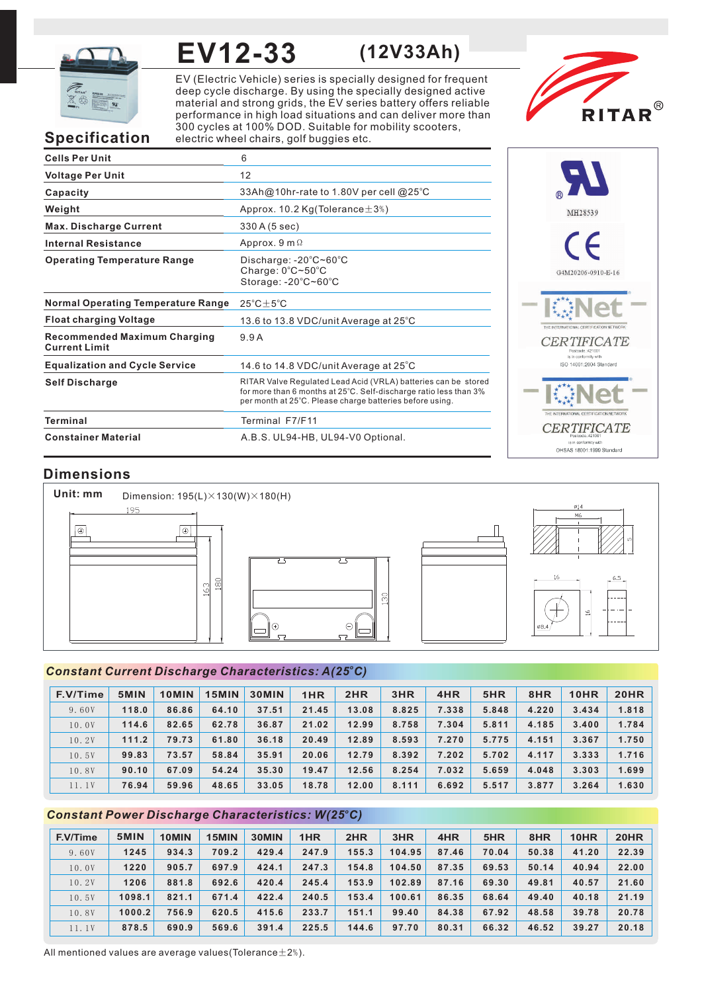

# **EV12-33**

**(12V33Ah)**

EV (Electric Vehicle) series is specially designed for frequent deep cycle discharge. By using the specially designed active material and strong grids, the EV series battery offers reliable performance in high load situations and can deliver more than 300 cycles at 100% DOD. Suitable for mobility scooters, electric wheel chairs, golf buggies etc.



# **Specification**

| <b>Cells Per Unit</b>                                       | 6                                                                                                                                                                                               |
|-------------------------------------------------------------|-------------------------------------------------------------------------------------------------------------------------------------------------------------------------------------------------|
| <b>Voltage Per Unit</b>                                     | 12                                                                                                                                                                                              |
| Capacity                                                    | 33Ah@10hr-rate to 1.80V per cell @25°C                                                                                                                                                          |
| Weight                                                      | Approx. 10.2 $Kg(Tolerance \pm 3\%)$                                                                                                                                                            |
| <b>Max. Discharge Current</b>                               | 330 A (5 sec)                                                                                                                                                                                   |
| <b>Internal Resistance</b>                                  | Approx. $9 \text{ m } \Omega$                                                                                                                                                                   |
| <b>Operating Temperature Range</b>                          | Discharge: $-20^{\circ}$ C $-60^{\circ}$ C<br>Charge: $0^{\circ}$ C $\sim$ 50 $^{\circ}$ C<br>Storage: -20°C~60°C                                                                               |
| <b>Normal Operating Temperature Range</b>                   | $25^{\circ}$ C + $5^{\circ}$ C                                                                                                                                                                  |
| <b>Float charging Voltage</b>                               | 13.6 to 13.8 VDC/unit Average at 25 $^{\circ}$ C                                                                                                                                                |
| <b>Recommended Maximum Charging</b><br><b>Current Limit</b> | 9.9A                                                                                                                                                                                            |
| <b>Equalization and Cycle Service</b>                       | 14.6 to 14.8 VDC/unit Average at $25^{\circ}$ C                                                                                                                                                 |
| <b>Self Discharge</b>                                       | RITAR Valve Regulated Lead Acid (VRLA) batteries can be stored<br>for more than 6 months at 25°C. Self-discharge ratio less than 3%<br>per month at 25°C. Please charge batteries before using. |
| <b>Terminal</b>                                             | Terminal F7/F11                                                                                                                                                                                 |
| <b>Constainer Material</b>                                  | A.B.S. UL94-HB, UL94-V0 Optional.                                                                                                                                                               |



# **Dimensions**



### *<sup>o</sup> Constant Current Discharge Characteristics: A(25 C)*

| F.V/Time | 5MIN  | 10MIN | 15MIN | <b>30MIN</b> | 1HR   | 2HR   | 3HR   | 4HR   | 5HR   | 8HR   | 10HR  | <b>20HR</b> |
|----------|-------|-------|-------|--------------|-------|-------|-------|-------|-------|-------|-------|-------------|
| 9.60V    | 118.0 | 86.86 | 64.10 | 37.51        | 21.45 | 13.08 | 8.825 | 7.338 | 5.848 | 4.220 | 3.434 | 1.818       |
| 10.0V    | 114.6 | 82.65 | 62.78 | 36.87        | 21.02 | 12.99 | 8.758 | 7.304 | 5.811 | 4.185 | 3.400 | 1.784       |
| 10.2V    | 111.2 | 79.73 | 61.80 | 36.18        | 20.49 | 12.89 | 8.593 | 7.270 | 5.775 | 4.151 | 3.367 | 1.750       |
| 10.5V    | 99.83 | 73.57 | 58.84 | 35.91        | 20.06 | 12.79 | 8.392 | 7.202 | 5.702 | 4.117 | 3.333 | 1.716       |
| 10.8V    | 90.10 | 67.09 | 54.24 | 35.30        | 19.47 | 12.56 | 8.254 | 7.032 | 5.659 | 4.048 | 3.303 | 1.699       |
| 11.1V    | 76.94 | 59.96 | 48.65 | 33.05        | 18.78 | 12.00 | 8.111 | 6.692 | 5.517 | 3.877 | 3.264 | 1.630       |

### *<sup>o</sup> Constant Power Discharge Characteristics: W(25 C)*

| F.V/Time | 5MIN   | 10MIN | 15MIN | 30MIN | 1HR   | 2HR   | 3HR    | 4HR   | 5HR   | 8HR   | 10HR  | 20HR  |
|----------|--------|-------|-------|-------|-------|-------|--------|-------|-------|-------|-------|-------|
| 9.60V    | 1245   | 934.3 | 709.2 | 429.4 | 247.9 | 155.3 | 104.95 | 87.46 | 70.04 | 50.38 | 41.20 | 22.39 |
| 10.0V    | 1220   | 905.7 | 697.9 | 424.1 | 247.3 | 154.8 | 104.50 | 87.35 | 69.53 | 50.14 | 40.94 | 22.00 |
| 10.2V    | 1206   | 881.8 | 692.6 | 420.4 | 245.4 | 153.9 | 102.89 | 87.16 | 69.30 | 49.81 | 40.57 | 21.60 |
| 10.5V    | 1098.1 | 821.1 | 671.4 | 422.4 | 240.5 | 153.4 | 100.61 | 86.35 | 68.64 | 49.40 | 40.18 | 21.19 |
| 10.8V    | 1000.2 | 756.9 | 620.5 | 415.6 | 233.7 | 151.1 | 99.40  | 84.38 | 67.92 | 48.58 | 39.78 | 20.78 |
| 11.1V    | 878.5  | 690.9 | 569.6 | 391.4 | 225.5 | 144.6 | 97.70  | 80.31 | 66.32 | 46.52 | 39.27 | 20.18 |

All mentioned values are average values(Tolerance $\pm 2\%$ ).